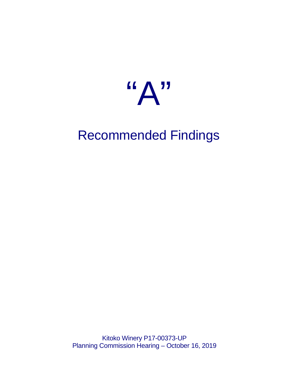

# Recommended Findings

Kitoko Winery P17-00373-UP Planning Commission Hearing – October 16, 2019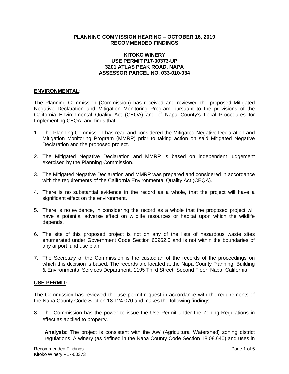#### **PLANNING COMMISSION HEARING – OCTOBER 16, 2019 RECOMMENDED FINDINGS**

### **KITOKO WINERY USE PERMIT P17-00373-UP 3201 ATLAS PEAK ROAD, NAPA ASSESSOR PARCEL NO. 033-010-034**

#### **ENVIRONMENTAL:**

The Planning Commission (Commission) has received and reviewed the proposed Mitigated Negative Declaration and Mitigation Monitoring Program pursuant to the provisions of the California Environmental Quality Act (CEQA) and of Napa County's Local Procedures for Implementing CEQA, and finds that:

- 1. The Planning Commission has read and considered the Mitigated Negative Declaration and Mitigation Monitoring Program (MMRP) prior to taking action on said Mitigated Negative Declaration and the proposed project.
- 2. The Mitigated Negative Declaration and MMRP is based on independent judgement exercised by the Planning Commission.
- 3. The Mitigated Negative Declaration and MMRP was prepared and considered in accordance with the requirements of the California Environmental Quality Act (CEQA).
- 4. There is no substantial evidence in the record as a whole, that the project will have a significant effect on the environment.
- 5. There is no evidence, in considering the record as a whole that the proposed project will have a potential adverse effect on wildlife resources or habitat upon which the wildlife depends.
- 6. The site of this proposed project is not on any of the lists of hazardous waste sites enumerated under Government Code Section 65962.5 and is not within the boundaries of any airport land use plan.
- 7. The Secretary of the Commission is the custodian of the records of the proceedings on which this decision is based. The records are located at the Napa County Planning, Building & Environmental Services Department, 1195 Third Street, Second Floor, Napa, California.

#### **USE PERMIT:**

The Commission has reviewed the use permit request in accordance with the requirements of the Napa County Code Section 18.124.070 and makes the following findings:

8. The Commission has the power to issue the Use Permit under the Zoning Regulations in effect as applied to property.

**Analysis:** The project is consistent with the AW (Agricultural Watershed) zoning district regulations. A winery (as defined in the Napa County Code Section 18.08.640) and uses in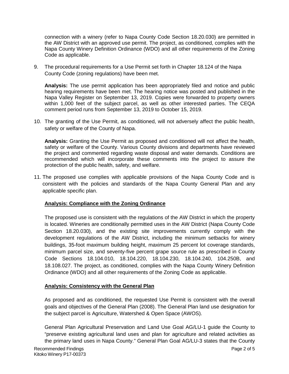connection with a winery (refer to Napa County Code Section 18.20.030) are permitted in the AW District with an approved use permit. The project, as conditioned, complies with the Napa County Winery Definition Ordinance (WDO) and all other requirements of the Zoning Code as applicable.

9. The procedural requirements for a Use Permit set forth in Chapter 18.124 of the Napa County Code (zoning regulations) have been met.

**Analysis:** The use permit application has been appropriately filed and notice and public hearing requirements have been met. The hearing notice was posted and published in the Napa Valley Register on September 13, 2019. Copies were forwarded to property owners within 1,000 feet of the subject parcel, as well as other interested parties. The CEQA comment period runs from September 13, 2019 to October 15, 2019.

10. The granting of the Use Permit, as conditioned, will not adversely affect the public health, safety or welfare of the County of Napa.

**Analysis:** Granting the Use Permit as proposed and conditioned will not affect the health, safety or welfare of the County. Various County divisions and departments have reviewed the project and commented regarding waste disposal and water demands. Conditions are recommended which will incorporate these comments into the project to assure the protection of the public health, safety, and welfare.

11. The proposed use complies with applicable provisions of the Napa County Code and is consistent with the policies and standards of the Napa County General Plan and any applicable specific plan.

# **Analysis: Compliance with the Zoning Ordinance**

The proposed use is consistent with the regulations of the AW District in which the property is located. Wineries are conditionally permitted uses in the AW District (Napa County Code Section 18.20.030), and the existing site improvements currently comply with the development regulations of the AW District, including the minimum setbacks for winery buildings, 35-foot maximum building height, maximum 25 percent lot coverage standards, minimum parcel size, and seventy-five percent grape source rule as prescribed in County Code Sections 18.104.010, 18.104.220, 18.104.230, 18.104.240, 104.250B, and 18.108.027. The project, as conditioned, complies with the Napa County Winery Definition Ordinance (WDO) and all other requirements of the Zoning Code as applicable.

# **Analysis: Consistency with the General Plan**

As proposed and as conditioned, the requested Use Permit is consistent with the overall goals and objectives of the General Plan (2008). The General Plan land use designation for the subject parcel is Agriculture, Watershed & Open Space (AWOS).

General Plan Agricultural Preservation and Land Use Goal AG/LU-1 guide the County to "preserve existing agricultural land uses and plan for agriculture and related activities as the primary land uses in Napa County." General Plan Goal AG/LU-3 states that the County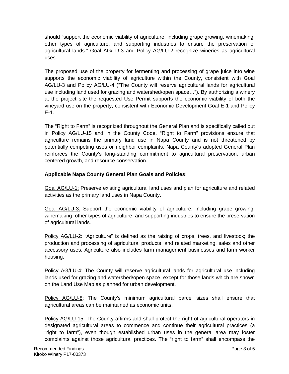should "support the economic viability of agriculture, including grape growing, winemaking, other types of agriculture, and supporting industries to ensure the preservation of agricultural lands." Goal AG/LU-3 and Policy AG/LU-2 recognize wineries as agricultural uses.

The proposed use of the property for fermenting and processing of grape juice into wine supports the economic viability of agriculture within the County, consistent with Goal AG/LU-3 and Policy AG/LU-4 ("The County will reserve agricultural lands for agricultural use including land used for grazing and watershed/open space…"). By authorizing a winery at the project site the requested Use Permit supports the economic viability of both the vineyard use on the property, consistent with Economic Development Goal E-1 and Policy E-1.

The "Right to Farm" is recognized throughout the General Plan and is specifically called out in Policy AG/LU-15 and in the County Code. "Right to Farm" provisions ensure that agriculture remains the primary land use in Napa County and is not threatened by potentially competing uses or neighbor complaints. Napa County's adopted General Plan reinforces the County's long-standing commitment to agricultural preservation, urban centered growth, and resource conservation.

# **Applicable Napa County General Plan Goals and Policies:**

Goal AG/LU-1: Preserve existing agricultural land uses and plan for agriculture and related activities as the primary land uses in Napa County.

Goal AG/LU-3: Support the economic viability of agriculture, including grape growing, winemaking, other types of agriculture, and supporting industries to ensure the preservation of agricultural lands.

Policy AG/LU-2: "Agriculture" is defined as the raising of crops, trees, and livestock; the production and processing of agricultural products; and related marketing, sales and other accessory uses. Agriculture also includes farm management businesses and farm worker housing.

Policy AG/LU-4: The County will reserve agricultural lands for agricultural use including lands used for grazing and watershed/open space, except for those lands which are shown on the Land Use Map as planned for urban development.

Policy AG/LU-8: The County's minimum agricultural parcel sizes shall ensure that agricultural areas can be maintained as economic units.

Policy AG/LU-15: The County affirms and shall protect the right of agricultural operators in designated agricultural areas to commence and continue their agricultural practices (a "right to farm"), even though established urban uses in the general area may foster complaints against those agricultural practices. The "right to farm" shall encompass the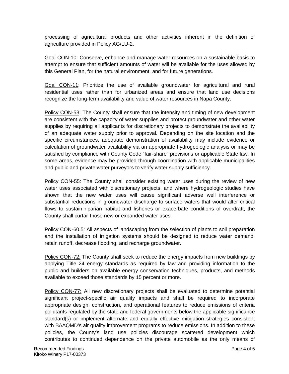processing of agricultural products and other activities inherent in the definition of agriculture provided in Policy AG/LU-2.

Goal CON-10: Conserve, enhance and manage water resources on a sustainable basis to attempt to ensure that sufficient amounts of water will be available for the uses allowed by this General Plan, for the natural environment, and for future generations.

Goal CON-11: Prioritize the use of available groundwater for agricultural and rural residential uses rather than for urbanized areas and ensure that land use decisions recognize the long-term availability and value of water resources in Napa County.

Policy CON-53: The County shall ensure that the intensity and timing of new development are consistent with the capacity of water supplies and protect groundwater and other water supplies by requiring all applicants for discretionary projects to demonstrate the availability of an adequate water supply prior to approval. Depending on the site location and the specific circumstances, adequate demonstration of availability may include evidence or calculation of groundwater availability via an appropriate hydrogeologic analysis or may be satisfied by compliance with County Code "fair-share" provisions or applicable State law. In some areas, evidence may be provided through coordination with applicable municipalities and public and private water purveyors to verify water supply sufficiency.

Policy CON-55: The County shall consider existing water uses during the review of new water uses associated with discretionary projects, and where hydrogeologic studies have shown that the new water uses will cause significant adverse well interference or substantial reductions in groundwater discharge to surface waters that would alter critical flows to sustain riparian habitat and fisheries or exacerbate conditions of overdraft, the County shall curtail those new or expanded water uses.

Policy CON-60.5: All aspects of landscaping from the selection of plants to soil preparation and the installation of irrigation systems should be designed to reduce water demand, retain runoff, decrease flooding, and recharge groundwater.

Policy CON-72: The County shall seek to reduce the energy impacts from new buildings by applying Title 24 energy standards as required by law and providing information to the public and builders on available energy conservation techniques, products, and methods available to exceed those standards by 15 percent or more.

Policy CON-77: All new discretionary projects shall be evaluated to determine potential significant project-specific air quality impacts and shall be required to incorporate appropriate design, construction, and operational features to reduce emissions of criteria pollutants regulated by the state and federal governments below the applicable significance standard(s) or implement alternate and equally effective mitigation strategies consistent with BAAQMD's air quality improvement programs to reduce emissions. In addition to these policies, the County's land use policies discourage scattered development which contributes to continued dependence on the private automobile as the only means of